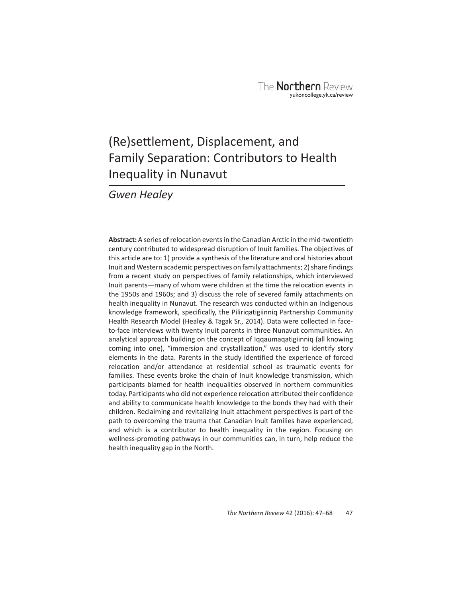# (Re) settlement, Displacement, and Family Separation: Contributors to Health Inequality in Nunavut

*Gwen Healey*

**Abstract:** A series of relocation events in the Canadian Arctic in the mid-twentieth century contributed to widespread disruption of Inuit families. The objectives of this article are to: 1) provide a synthesis of the literature and oral histories about Inuit and Western academic perspectives on family attachments; 2) share findings from a recent study on perspectives of family relationships, which interviewed Inuit parents—many of whom were children at the time the relocation events in the 1950s and 1960s; and 3) discuss the role of severed family attachments on health inequality in Nunavut. The research was conducted within an Indigenous knowledge framework, specifically, the Piliriqatigiinniq Partnership Community Health Research Model (Healey & Tagak Sr., 2014). Data were collected in faceto-face interviews with twenty Inuit parents in three Nunavut communities. An analytical approach building on the concept of Iqqaumaqatigiinniq (all knowing coming into one), "immersion and crystallization," was used to identify story elements in the data. Parents in the study identified the experience of forced relocation and/or attendance at residential school as traumatic events for families. These events broke the chain of Inuit knowledge transmission, which participants blamed for health inequalities observed in northern communities today. Participants who did not experience relocation attributed their confidence and ability to communicate health knowledge to the bonds they had with their children. Reclaiming and revitalizing Inuit attachment perspectives is part of the path to overcoming the trauma that Canadian Inuit families have experienced, and which is a contributor to health inequality in the region. Focusing on wellness-promoting pathways in our communities can, in turn, help reduce the health inequality gap in the North.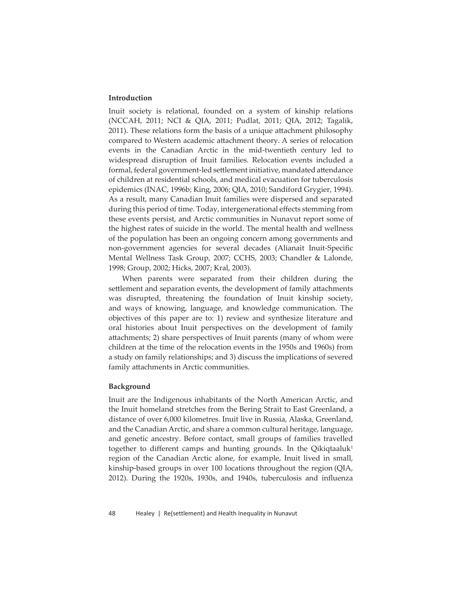## **Introduction**

Inuit society is relational, founded on a system of kinship relations (NCCAH, 2011; NCI & QIA, 2011; Pudlat, 2011; QIA, 2012; Tagalik, 2011). These relations form the basis of a unique attachment philosophy compared to Western academic attachment theory. A series of relocation events in the Canadian Arctic in the mid-twentieth century led to widespread disruption of Inuit families. Relocation events included a formal, federal government-led settlement initiative, mandated attendance of children at residential schools, and medical evacuation for tuberculosis epidemics (INAC, 1996b; King, 2006; QIA, 2010; Sandiford Grygier, 1994). As a result, many Canadian Inuit families were dispersed and separated during this period of time. Today, intergenerational effects stemming from these events persist, and Arctic communities in Nunavut report some of the highest rates of suicide in the world. The mental health and wellness of the population has been an ongoing concern among governments and non-government agencies for several decades (Alianait Inuit-Specific Mental Wellness Task Group, 2007; CCHS, 2003; Chandler & Lalonde, 1998; Group, 2002; Hicks, 2007; Kral, 2003).

When parents were separated from their children during the settlement and separation events, the development of family attachments was disrupted, threatening the foundation of Inuit kinship society, and ways of knowing, language, and knowledge communication. The objectives of this paper are to: 1) review and synthesize literature and oral histories about Inuit perspectives on the development of family attachments; 2) share perspectives of Inuit parents (many of whom were children at the time of the relocation events in the 1950s and 1960s) from a study on family relationships; and 3) discuss the implications of severed family attachments in Arctic communities.

#### **Background**

Inuit are the Indigenous inhabitants of the North American Arctic, and the Inuit homeland stretches from the Bering Strait to East Greenland, a distance of over 6,000 kilometres. Inuit live in Russia, Alaska, Greenland, and the Canadian Arctic, and share a common cultural heritage, language, and genetic ancestry. Before contact, small groups of families travelled together to different camps and hunting grounds. In the Qikiqtaaluk<sup>1</sup> region of the Canadian Arctic alone, for example, Inuit lived in small, kinship-based groups in over 100 locations throughout the region (QIA, 2012). During the 1920s, 1930s, and 1940s, tuberculosis and influenza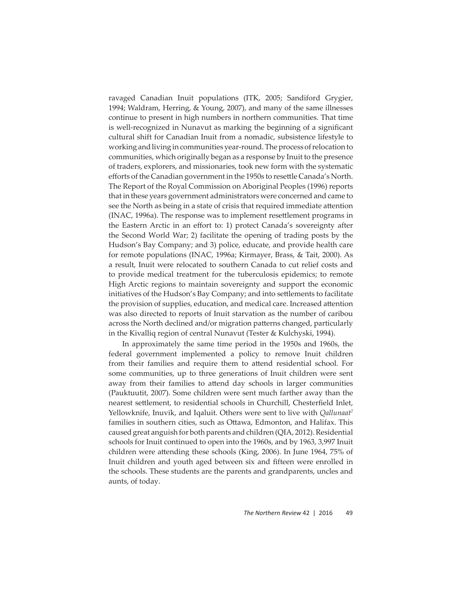ravaged Canadian Inuit populations (ITK, 2005; Sandiford Grygier, 1994; Waldram, Herring, & Young, 2007), and many of the same illnesses continue to present in high numbers in northern communities. That time is well-recognized in Nunavut as marking the beginning of a significant cultural shift for Canadian Inuit from a nomadic, subsistence lifestyle to working and living in communities year-round. The process of relocation to communities, which originally began as a response by Inuit to the presence of traders, explorers, and missionaries, took new form with the systematic efforts of the Canadian government in the 1950s to resettle Canada's North. The Report of the Royal Commission on Aboriginal Peoples (1996) reports that in these years government administrators were concerned and came to see the North as being in a state of crisis that required immediate attention (INAC, 1996a). The response was to implement resettlement programs in the Eastern Arctic in an effort to: 1) protect Canada's sovereignty after the Second World War; 2) facilitate the opening of trading posts by the Hudson's Bay Company; and 3) police, educate, and provide health care for remote populations (INAC, 1996a; Kirmayer, Brass, & Tait, 2000). As a result, Inuit were relocated to southern Canada to cut relief costs and to provide medical treatment for the tuberculosis epidemics; to remote High Arctic regions to maintain sovereignty and support the economic initiatives of the Hudson's Bay Company; and into settlements to facilitate the provision of supplies, education, and medical care. Increased attention was also directed to reports of Inuit starvation as the number of caribou across the North declined and/or migration patterns changed, particularly in the Kivalliq region of central Nunavut (Tester & Kulchyski, 1994).

In approximately the same time period in the 1950s and 1960s, the federal government implemented a policy to remove Inuit children from their families and require them to attend residential school. For some communities, up to three generations of Inuit children were sent away from their families to attend day schools in larger communities (Pauktuutit, 2007). Some children were sent much farther away than the nearest settlement, to residential schools in Churchill, Chesterfield Inlet, Yellowknife, Inuvik, and Iqaluit. Others were sent to live with *Qallunaat2* families in southern cities, such as Ottawa, Edmonton, and Halifax. This caused great anguish for both parents and children (QIA, 2012). Residential schools for Inuit continued to open into the 1960s, and by 1963, 3,997 Inuit children were attending these schools (King, 2006). In June 1964, 75% of Inuit children and youth aged between six and fifteen were enrolled in the schools. These students are the parents and grandparents, uncles and aunts, of today.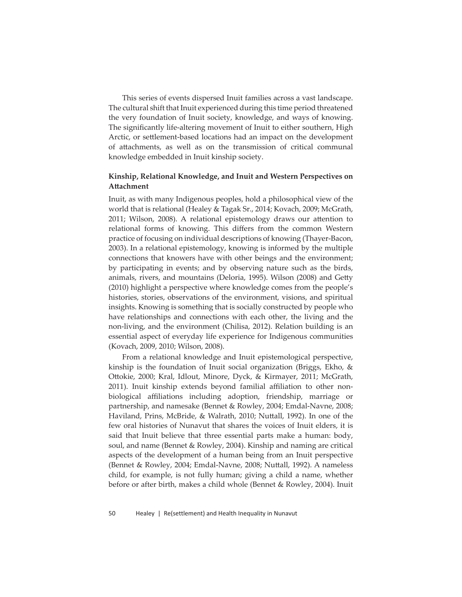This series of events dispersed Inuit families across a vast landscape. The cultural shift that Inuit experienced during this time period threatened the very foundation of Inuit society, knowledge, and ways of knowing. The significantly life-altering movement of Inuit to either southern, High Arctic, or settlement-based locations had an impact on the development of att achments, as well as on the transmission of critical communal knowledge embedded in Inuit kinship society.

# **Kinship, Relational Knowledge, and Inuit and Western Perspectives on Att achment**

Inuit, as with many Indigenous peoples, hold a philosophical view of the world that is relational (Healey & Tagak Sr., 2014; Kovach, 2009; McGrath, 2011; Wilson, 2008). A relational epistemology draws our attention to relational forms of knowing. This differs from the common Western practice of focusing on individual descriptions of knowing (Thayer-Bacon, 2003). In a relational epistemology, knowing is informed by the multiple connections that knowers have with other beings and the environment; by participating in events; and by observing nature such as the birds, animals, rivers, and mountains (Deloria, 1995). Wilson (2008) and Getty (2010) highlight a perspective where knowledge comes from the people's histories, stories, observations of the environment, visions, and spiritual insights. Knowing is something that is socially constructed by people who have relationships and connections with each other, the living and the non-living, and the environment (Chilisa, 2012). Relation building is an essential aspect of everyday life experience for Indigenous communities (Kovach, 2009, 2010; Wilson, 2008).

From a relational knowledge and Inuit epistemological perspective, kinship is the foundation of Inuit social organization (Briggs, Ekho, & Ottokie, 2000; Kral, Idlout, Minore, Dyck, & Kirmayer, 2011; McGrath, 2011). Inuit kinship extends beyond familial affiliation to other nonbiological affiliations including adoption, friendship, marriage or partnership, and namesake (Bennet & Rowley, 2004; Emdal-Navne, 2008; Haviland, Prins, McBride, & Walrath, 2010; Nuttall, 1992). In one of the few oral histories of Nunavut that shares the voices of Inuit elders, it is said that Inuit believe that three essential parts make a human: body, soul, and name (Bennet & Rowley, 2004). Kinship and naming are critical aspects of the development of a human being from an Inuit perspective (Bennet & Rowley, 2004; Emdal-Navne, 2008; Nuttall, 1992). A nameless child, for example, is not fully human; giving a child a name, whether before or after birth, makes a child whole (Bennet & Rowley, 2004). Inuit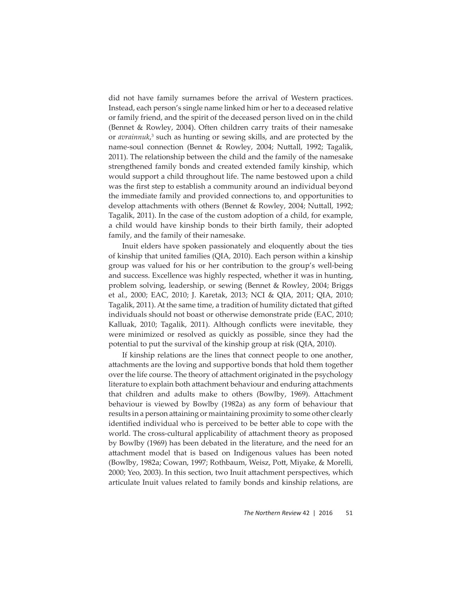did not have family surnames before the arrival of Western practices. Instead, each person's single name linked him or her to a deceased relative or family friend, and the spirit of the deceased person lived on in the child (Bennet & Rowley, 2004). Often children carry traits of their namesake or *avrainnuk*,<sup>3</sup> such as hunting or sewing skills, and are protected by the name-soul connection (Bennet & Rowley, 2004; Nuttall, 1992; Tagalik, 2011). The relationship between the child and the family of the namesake strengthened family bonds and created extended family kinship, which would support a child throughout life. The name bestowed upon a child was the first step to establish a community around an individual beyond the immediate family and provided connections to, and opportunities to develop attachments with others (Bennet & Rowley, 2004; Nuttall, 1992; Tagalik, 2011). In the case of the custom adoption of a child, for example, a child would have kinship bonds to their birth family, their adopted family, and the family of their namesake.

Inuit elders have spoken passionately and eloquently about the ties of kinship that united families (QIA, 2010). Each person within a kinship group was valued for his or her contribution to the group's well-being and success. Excellence was highly respected, whether it was in hunting, problem solving, leadership, or sewing (Bennet & Rowley, 2004; Briggs et al., 2000; EAC, 2010; J. Karetak, 2013; NCI & QIA, 2011; QIA, 2010; Tagalik, 2011). At the same time, a tradition of humility dictated that gifted individuals should not boast or otherwise demonstrate pride (EAC, 2010; Kalluak, 2010; Tagalik, 2011). Although conflicts were inevitable, they were minimized or resolved as quickly as possible, since they had the potential to put the survival of the kinship group at risk (QIA, 2010).

If kinship relations are the lines that connect people to one another, attachments are the loving and supportive bonds that hold them together over the life course. The theory of attachment originated in the psychology literature to explain both attachment behaviour and enduring attachments that children and adults make to others (Bowlby, 1969). Attachment behaviour is viewed by Bowlby (1982a) as any form of behaviour that results in a person attaining or maintaining proximity to some other clearly identified individual who is perceived to be better able to cope with the world. The cross-cultural applicability of attachment theory as proposed by Bowlby (1969) has been debated in the literature, and the need for an att achment model that is based on Indigenous values has been noted (Bowlby, 1982a; Cowan, 1997; Rothbaum, Weisz, Pott, Miyake, & Morelli, 2000; Yeo, 2003). In this section, two Inuit attachment perspectives, which articulate Inuit values related to family bonds and kinship relations, are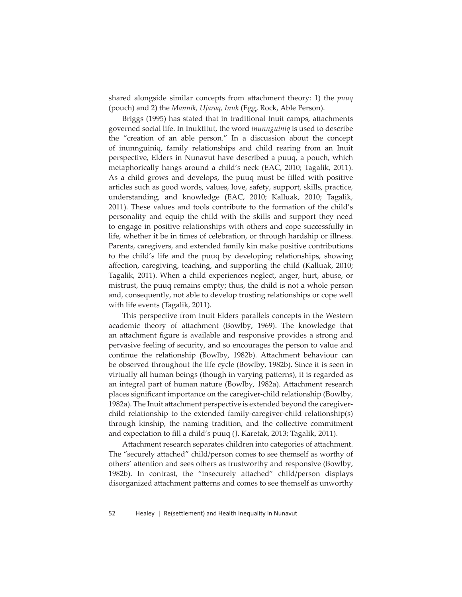shared alongside similar concepts from attachment theory: 1) the *puuq* (pouch) and 2) the *Mannik, Ujaraq, Inuk* (Egg, Rock, Able Person).

Briggs (1995) has stated that in traditional Inuit camps, attachments governed social life. In Inuktitut, the word *inunnguiniq* is used to describe the "creation of an able person." In a discussion about the concept of inunnguiniq, family relationships and child rearing from an Inuit perspective, Elders in Nunavut have described a puuq, a pouch, which metaphorically hangs around a child's neck (EAC, 2010; Tagalik, 2011). As a child grows and develops, the puuq must be filled with positive articles such as good words, values, love, safety, support, skills, practice, understanding, and knowledge (EAC, 2010; Kalluak, 2010; Tagalik, 2011). These values and tools contribute to the formation of the child's personality and equip the child with the skills and support they need to engage in positive relationships with others and cope successfully in life, whether it be in times of celebration, or through hardship or illness. Parents, caregivers, and extended family kin make positive contributions to the child's life and the puuq by developing relationships, showing affection, caregiving, teaching, and supporting the child (Kalluak, 2010; Tagalik, 2011). When a child experiences neglect, anger, hurt, abuse, or mistrust, the puuq remains empty; thus, the child is not a whole person and, consequently, not able to develop trusting relationships or cope well with life events (Tagalik, 2011).

This perspective from Inuit Elders parallels concepts in the Western academic theory of attachment (Bowlby, 1969). The knowledge that an attachment figure is available and responsive provides a strong and pervasive feeling of security, and so encourages the person to value and continue the relationship (Bowlby, 1982b). Attachment behaviour can be observed throughout the life cycle (Bowlby, 1982b). Since it is seen in virtually all human beings (though in varying patterns), it is regarded as an integral part of human nature (Bowlby, 1982a). Attachment research places significant importance on the caregiver-child relationship (Bowlby, 1982a). The Inuit attachment perspective is extended beyond the caregiverchild relationship to the extended family-caregiver-child relationship(s) through kinship, the naming tradition, and the collective commitment and expectation to fill a child's puuq (J. Karetak, 2013; Tagalik, 2011).

Attachment research separates children into categories of attachment. The "securely attached" child/person comes to see themself as worthy of others' attention and sees others as trustworthy and responsive (Bowlby, 1982b). In contrast, the "insecurely attached" child/person displays disorganized attachment patterns and comes to see themself as unworthy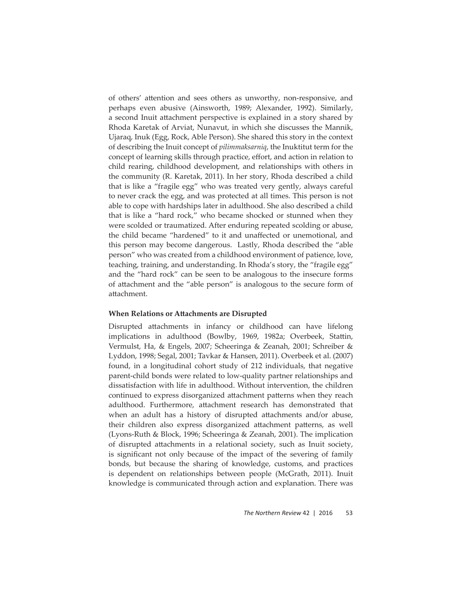of others' attention and sees others as unworthy, non-responsive, and perhaps even abusive (Ainsworth, 1989; Alexander, 1992). Similarly, a second Inuit attachment perspective is explained in a story shared by Rhoda Karetak of Arviat, Nunavut, in which she discusses the Mannik, Ujaraq, Inuk (Egg, Rock, Able Person). She shared this story in the context of describing the Inuit concept of *pilimmaksarniq*, the Inuktitut term for the concept of learning skills through practice, effort, and action in relation to child rearing, childhood development, and relationships with others in the community (R. Karetak, 2011). In her story, Rhoda described a child that is like a "fragile egg" who was treated very gently, always careful to never crack the egg, and was protected at all times. This person is not able to cope with hardships later in adulthood. She also described a child that is like a "hard rock," who became shocked or stunned when they were scolded or traumatized. After enduring repeated scolding or abuse, the child became "hardened" to it and unaffected or unemotional, and this person may become dangerous. Lastly, Rhoda described the "able person" who was created from a childhood environment of patience, love, teaching, training, and understanding. In Rhoda's story, the "fragile egg" and the "hard rock" can be seen to be analogous to the insecure forms of att achment and the "able person" is analogous to the secure form of attachment.

## **When Relations or Att achments are Disrupted**

Disrupted attachments in infancy or childhood can have lifelong implications in adulthood (Bowlby, 1969, 1982a; Overbeek, Stattin, Vermulst, Ha, & Engels, 2007; Scheeringa & Zeanah, 2001; Schreiber & Lyddon, 1998; Segal, 2001; Tavkar & Hansen, 2011). Overbeek et al. (2007) found, in a longitudinal cohort study of 212 individuals, that negative parent-child bonds were related to low-quality partner relationships and dissatisfaction with life in adulthood. Without intervention, the children continued to express disorganized attachment patterns when they reach adulthood. Furthermore, attachment research has demonstrated that when an adult has a history of disrupted attachments and/or abuse, their children also express disorganized attachment patterns, as well (Lyons-Ruth & Block, 1996; Scheeringa & Zeanah, 2001). The implication of disrupted attachments in a relational society, such as Inuit society, is significant not only because of the impact of the severing of family bonds, but because the sharing of knowledge, customs, and practices is dependent on relationships between people (McGrath, 2011). Inuit knowledge is communicated through action and explanation. There was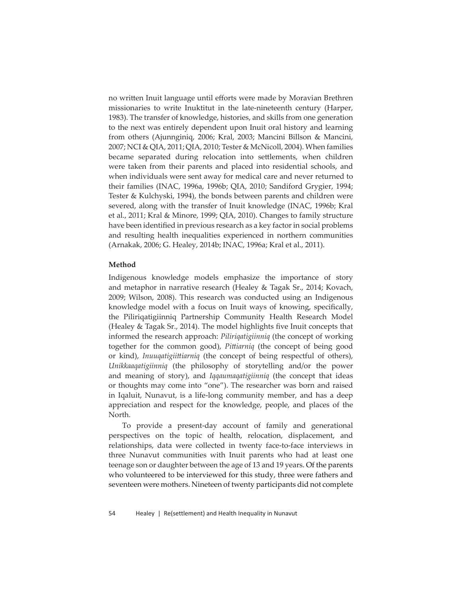no written Inuit language until efforts were made by Moravian Brethren missionaries to write Inuktitut in the late-nineteenth century (Harper, 1983). The transfer of knowledge, histories, and skills from one generation to the next was entirely dependent upon Inuit oral history and learning from others (Ajunnginiq, 2006; Kral, 2003; Mancini Billson & Mancini, 2007; NCI & QIA, 2011; QIA, 2010; Tester & McNicoll, 2004). When families became separated during relocation into settlements, when children were taken from their parents and placed into residential schools, and when individuals were sent away for medical care and never returned to their families (INAC, 1996a, 1996b; QIA, 2010; Sandiford Grygier, 1994; Tester & Kulchyski, 1994), the bonds between parents and children were severed, along with the transfer of Inuit knowledge (INAC, 1996b; Kral et al., 2011; Kral & Minore, 1999; QIA, 2010). Changes to family structure have been identified in previous research as a key factor in social problems and resulting health inequalities experienced in northern communities (Arnakak, 2006; G. Healey, 2014b; INAC, 1996a; Kral et al., 2011).

#### **Method**

Indigenous knowledge models emphasize the importance of story and metaphor in narrative research (Healey & Tagak Sr., 2014; Kovach, 2009; Wilson, 2008). This research was conducted using an Indigenous knowledge model with a focus on Inuit ways of knowing, specifically, the Piliriqatigiinniq Partnership Community Health Research Model (Healey & Tagak Sr., 2014). The model highlights five Inuit concepts that informed the research approach: *Piliriqatigiinniq* (the concept of working together for the common good), *Pittiarniq* (the concept of being good or kind), *Inuuqatigiittiarniq* (the concept of being respectful of others), *Unikkaaqatigiinniq* (the philosophy of storytelling and/or the power and meaning of story), and *Iqqaumaqatigiinniq* (the concept that ideas or thoughts may come into "one"). The researcher was born and raised in Iqaluit, Nunavut, is a life-long community member, and has a deep appreciation and respect for the knowledge, people, and places of the North.

To provide a present-day account of family and generational perspectives on the topic of health, relocation, displacement, and relationships, data were collected in twenty face-to-face interviews in three Nunavut communities with Inuit parents who had at least one teenage son or daughter between the age of 13 and 19 years. Of the parents who volunteered to be interviewed for this study, three were fathers and seventeen were mothers. Nineteen of twenty participants did not complete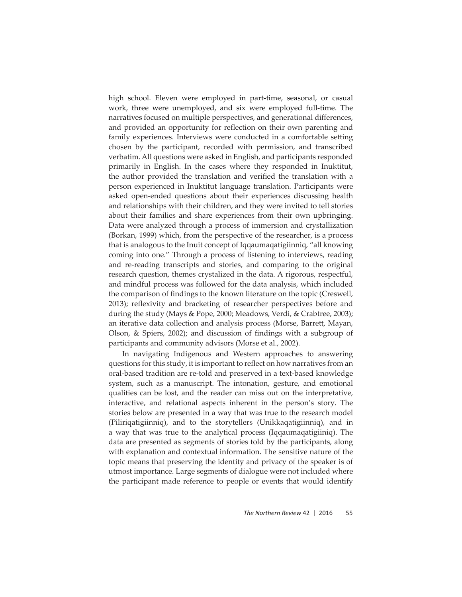high school. Eleven were employed in part-time, seasonal, or casual work, three were unemployed, and six were employed full-time. The narratives focused on multiple perspectives, and generational differences, and provided an opportunity for reflection on their own parenting and family experiences. Interviews were conducted in a comfortable setting chosen by the participant, recorded with permission, and transcribed verbatim. All questions were asked in English, and participants responded primarily in English. In the cases where they responded in Inuktitut, the author provided the translation and verified the translation with a person experienced in Inuktitut language translation. Participants were asked open-ended questions about their experiences discussing health and relationships with their children, and they were invited to tell stories about their families and share experiences from their own upbringing. Data were analyzed through a process of immersion and crystallization (Borkan, 1999) which, from the perspective of the researcher, is a process that is analogous to the Inuit concept of Iqqaumaqatigiinniq, "all knowing coming into one." Through a process of listening to interviews, reading and re-reading transcripts and stories, and comparing to the original research question, themes crystalized in the data. A rigorous, respectful, and mindful process was followed for the data analysis, which included the comparison of findings to the known literature on the topic (Creswell, 2013); reflexivity and bracketing of researcher perspectives before and during the study (Mays & Pope, 2000; Meadows, Verdi, & Crabtree, 2003); an iterative data collection and analysis process (Morse, Barrett, Mayan, Olson,  $\&$  Spiers, 2002); and discussion of findings with a subgroup of participants and community advisors (Morse et al., 2002).

In navigating Indigenous and Western approaches to answering questions for this study, it is important to reflect on how narratives from an oral-based tradition are re-told and preserved in a text-based knowledge system, such as a manuscript. The intonation, gesture, and emotional qualities can be lost, and the reader can miss out on the interpretative, interactive, and relational aspects inherent in the person's story. The stories below are presented in a way that was true to the research model (Piliriqatigiinniq), and to the storytellers (Unikkaqatigiinniq), and in a way that was true to the analytical process (Iqqaumaqatigiiniq). The data are presented as segments of stories told by the participants, along with explanation and contextual information. The sensitive nature of the topic means that preserving the identity and privacy of the speaker is of utmost importance. Large segments of dialogue were not included where the participant made reference to people or events that would identify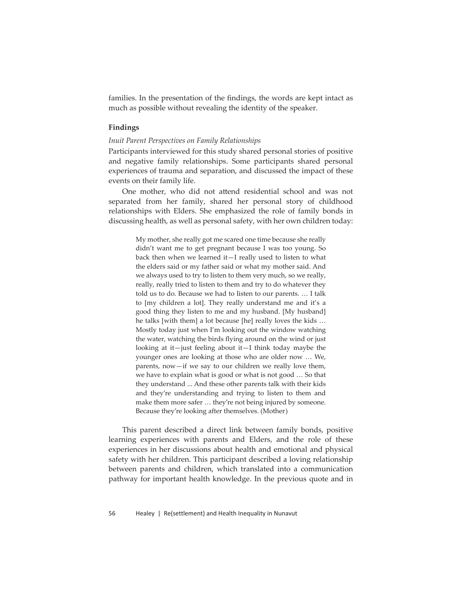families. In the presentation of the findings, the words are kept intact as much as possible without revealing the identity of the speaker.

## **Findings**

#### *Inuit Parent Perspectives on Family Relationships*

Participants interviewed for this study shared personal stories of positive and negative family relationships. Some participants shared personal experiences of trauma and separation, and discussed the impact of these events on their family life.

One mother, who did not attend residential school and was not separated from her family, shared her personal story of childhood relationships with Elders. She emphasized the role of family bonds in discussing health, as well as personal safety, with her own children today:

> My mother, she really got me scared one time because she really didn't want me to get pregnant because I was too young. So back then when we learned it—I really used to listen to what the elders said or my father said or what my mother said. And we always used to try to listen to them very much, so we really, really, really tried to listen to them and try to do whatever they told us to do. Because we had to listen to our parents. … I talk to [my children a lot]. They really understand me and it's a good thing they listen to me and my husband. [My husband] he talks [with them] a lot because [he] really loves the kids … Mostly today just when I'm looking out the window watching the water, watching the birds flying around on the wind or just looking at it—just feeling about it—I think today maybe the younger ones are looking at those who are older now … We, parents, now—if we say to our children we really love them, we have to explain what is good or what is not good … So that they understand ... And these other parents talk with their kids and they're understanding and trying to listen to them and make them more safer … they're not being injured by someone. Because they're looking after themselves. (Mother)

This parent described a direct link between family bonds, positive learning experiences with parents and Elders, and the role of these experiences in her discussions about health and emotional and physical safety with her children. This participant described a loving relationship between parents and children, which translated into a communication pathway for important health knowledge. In the previous quote and in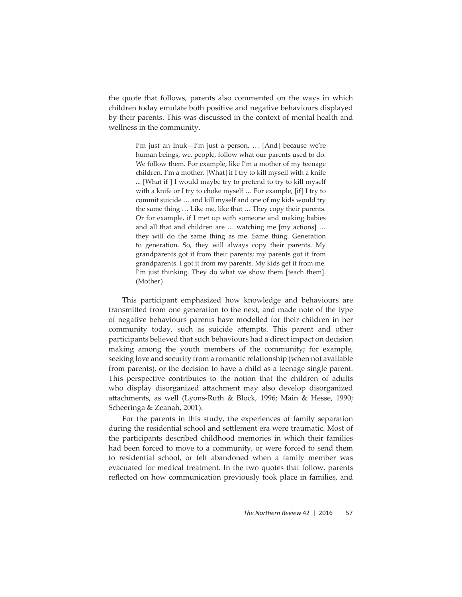the quote that follows, parents also commented on the ways in which children today emulate both positive and negative behaviours displayed by their parents. This was discussed in the context of mental health and wellness in the community.

> I'm just an Inuk—I'm just a person. … [And] because we're human beings, we, people, follow what our parents used to do. We follow them. For example, like I'm a mother of my teenage children. I'm a mother. [What] if I try to kill myself with a knife ... [What if ] I would maybe try to pretend to try to kill myself with a knife or I try to choke myself … For example, [if] I try to commit suicide … and kill myself and one of my kids would try the same thing … Like me, like that … They copy their parents. Or for example, if I met up with someone and making babies and all that and children are … watching me [my actions] … they will do the same thing as me. Same thing. Generation to generation. So, they will always copy their parents. My grandparents got it from their parents; my parents got it from grandparents. I got it from my parents. My kids get it from me. I'm just thinking. They do what we show them [teach them]. (Mother)

This participant emphasized how knowledge and behaviours are transmitted from one generation to the next, and made note of the type of negative behaviours parents have modelled for their children in her community today, such as suicide attempts. This parent and other participants believed that such behaviours had a direct impact on decision making among the youth members of the community; for example, seeking love and security from a romantic relationship (when not available from parents), or the decision to have a child as a teenage single parent. This perspective contributes to the notion that the children of adults who display disorganized attachment may also develop disorganized attachments, as well (Lyons-Ruth & Block, 1996; Main & Hesse, 1990; Scheeringa & Zeanah, 2001).

For the parents in this study, the experiences of family separation during the residential school and settlement era were traumatic. Most of the participants described childhood memories in which their families had been forced to move to a community, or were forced to send them to residential school, or felt abandoned when a family member was evacuated for medical treatment. In the two quotes that follow, parents reflected on how communication previously took place in families, and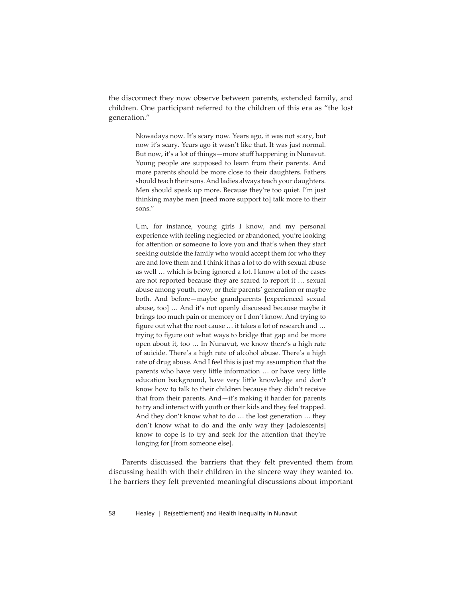the disconnect they now observe between parents, extended family, and children. One participant referred to the children of this era as "the lost generation."

> Nowadays now. It's scary now. Years ago, it was not scary, but now it's scary. Years ago it wasn't like that. It was just normal. But now, it's a lot of things—more stuff happening in Nunavut. Young people are supposed to learn from their parents. And more parents should be more close to their daughters. Fathers should teach their sons. And ladies always teach your daughters. Men should speak up more. Because they're too quiet. I'm just thinking maybe men [need more support to] talk more to their sons."

> Um, for instance, young girls I know, and my personal experience with feeling neglected or abandoned, you're looking for attention or someone to love you and that's when they start seeking outside the family who would accept them for who they are and love them and I think it has a lot to do with sexual abuse as well … which is being ignored a lot. I know a lot of the cases are not reported because they are scared to report it … sexual abuse among youth, now, or their parents' generation or maybe both. And before—maybe grandparents [experienced sexual abuse, too] … And it's not openly discussed because maybe it brings too much pain or memory or I don't know. And trying to figure out what the root cause ... it takes a lot of research and ... trying to figure out what ways to bridge that gap and be more open about it, too … In Nunavut, we know there's a high rate of suicide. There's a high rate of alcohol abuse. There's a high rate of drug abuse. And I feel this is just my assumption that the parents who have very little information ... or have very little education background, have very little knowledge and don't know how to talk to their children because they didn't receive that from their parents. And—it's making it harder for parents to try and interact with youth or their kids and they feel trapped. And they don't know what to do … the lost generation … they don't know what to do and the only way they [adolescents] know to cope is to try and seek for the attention that they're longing for [from someone else].

Parents discussed the barriers that they felt prevented them from discussing health with their children in the sincere way they wanted to. The barriers they felt prevented meaningful discussions about important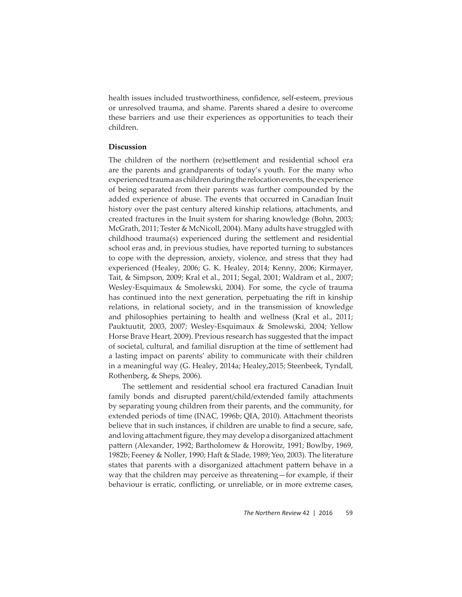health issues included trustworthiness, confidence, self-esteem, previous or unresolved trauma, and shame. Parents shared a desire to overcome these barriers and use their experiences as opportunities to teach their children.

#### **Discussion**

The children of the northern (re)settlement and residential school era are the parents and grandparents of today's youth. For the many who experienced trauma as children during the relocation events, the experience of being separated from their parents was further compounded by the added experience of abuse. The events that occurred in Canadian Inuit history over the past century altered kinship relations, attachments, and created fractures in the Inuit system for sharing knowledge (Bohn, 2003; McGrath, 2011; Tester & McNicoll, 2004). Many adults have struggled with  $childhood$  trauma $(s)$  experienced during the settlement and residential school eras and, in previous studies, have reported turning to substances to cope with the depression, anxiety, violence, and stress that they had experienced (Healey, 2006; G. K. Healey, 2014; Kenny, 2006; Kirmayer, Tait, & Simpson, 2009; Kral et al., 2011; Segal, 2001; Waldram et al., 2007; Wesley-Esquimaux & Smolewski, 2004). For some, the cycle of trauma has continued into the next generation, perpetuating the rift in kinship relations, in relational society, and in the transmission of knowledge and philosophies pertaining to health and wellness (Kral et al., 2011; Pauktuutit, 2003, 2007; Wesley-Esquimaux & Smolewski, 2004; Yellow Horse Brave Heart, 2009). Previous research has suggested that the impact of societal, cultural, and familial disruption at the time of settlement had a lasting impact on parents' ability to communicate with their children in a meaningful way (G. Healey, 2014a; Healey,2015; Steenbeek, Tyndall, Rothenberg, & Sheps, 2006).

The settlement and residential school era fractured Canadian Inuit family bonds and disrupted parent/child/extended family attachments by separating young children from their parents, and the community, for extended periods of time (INAC, 1996b; QIA, 2010). Attachment theorists believe that in such instances, if children are unable to find a secure, safe, and loving attachment figure, they may develop a disorganized attachment pattern (Alexander, 1992; Bartholomew & Horowitz, 1991; Bowlby, 1969, 1982b; Feeney & Noller, 1990; Haft & Slade, 1989; Yeo, 2003). The literature states that parents with a disorganized attachment pattern behave in a way that the children may perceive as threatening—for example, if their behaviour is erratic, conflicting, or unreliable, or in more extreme cases,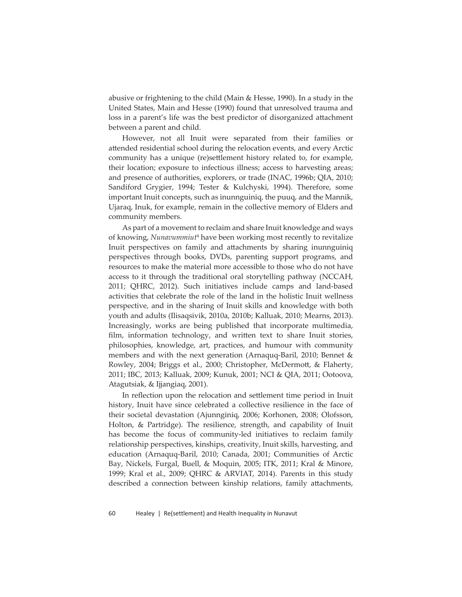abusive or frightening to the child (Main & Hesse, 1990). In a study in the United States, Main and Hesse (1990) found that unresolved trauma and loss in a parent's life was the best predictor of disorganized attachment between a parent and child.

However, not all Inuit were separated from their families or attended residential school during the relocation events, and every Arctic community has a unique (re)settlement history related to, for example, their location; exposure to infectious illness; access to harvesting areas; and presence of authorities, explorers, or trade (INAC, 1996b; QIA, 2010; Sandiford Grygier, 1994; Tester & Kulchyski, 1994). Therefore, some important Inuit concepts, such as inunnguiniq, the puuq, and the Mannik, Ujaraq, Inuk, for example, remain in the collective memory of Elders and community members.

As part of a movement to reclaim and share Inuit knowledge and ways of knowing, *Nunavummiut*<sup>4</sup> have been working most recently to revitalize Inuit perspectives on family and attachments by sharing inunnguiniq perspectives through books, DVDs, parenting support programs, and resources to make the material more accessible to those who do not have access to it through the traditional oral storytelling pathway (NCCAH, 2011; QHRC, 2012). Such initiatives include camps and land-based activities that celebrate the role of the land in the holistic Inuit wellness perspective, and in the sharing of Inuit skills and knowledge with both youth and adults (Ilisaqsivik, 2010a, 2010b; Kalluak, 2010; Mearns, 2013). Increasingly, works are being published that incorporate multimedia, film, information technology, and written text to share Inuit stories, philosophies, knowledge, art, practices, and humour with community members and with the next generation (Arnaquq-Baril, 2010; Bennet & Rowley, 2004; Briggs et al., 2000; Christopher, McDermott, & Flaherty, 2011; IBC, 2013; Kalluak, 2009; Kunuk, 2001; NCI & QIA, 2011; Ootoova, Atagutsiak, & Ijjangiaq, 2001).

In reflection upon the relocation and settlement time period in Inuit history, Inuit have since celebrated a collective resilience in the face of their societal devastation (Ajunnginiq, 2006; Korhonen, 2008; Olofsson, Holton, & Partridge). The resilience, strength, and capability of Inuit has become the focus of community-led initiatives to reclaim family relationship perspectives, kinships, creativity, Inuit skills, harvesting, and education (Arnaquq-Baril, 2010; Canada, 2001; Communities of Arctic Bay, Nickels, Furgal, Buell, & Moquin, 2005; ITK, 2011; Kral & Minore, 1999; Kral et al., 2009; QHRC & ARVIAT, 2014). Parents in this study described a connection between kinship relations, family attachments,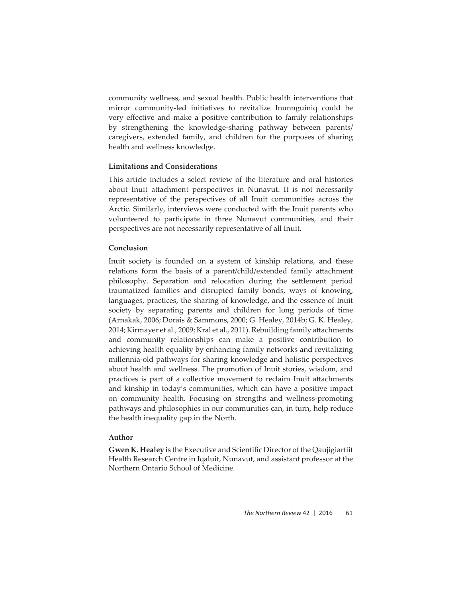community wellness, and sexual health. Public health interventions that mirror community-led initiatives to revitalize Inunnguiniq could be very effective and make a positive contribution to family relationships by strengthening the knowledge-sharing pathway between parents/ caregivers, extended family, and children for the purposes of sharing health and wellness knowledge.

# **Limitations and Considerations**

This article includes a select review of the literature and oral histories about Inuit attachment perspectives in Nunavut. It is not necessarily representative of the perspectives of all Inuit communities across the Arctic. Similarly, interviews were conducted with the Inuit parents who volunteered to participate in three Nunavut communities, and their perspectives are not necessarily representative of all Inuit.

# **Conclusion**

Inuit society is founded on a system of kinship relations, and these relations form the basis of a parent/child/extended family attachment philosophy. Separation and relocation during the settlement period traumatized families and disrupted family bonds, ways of knowing, languages, practices, the sharing of knowledge, and the essence of Inuit society by separating parents and children for long periods of time (Arnakak, 2006; Dorais & Sammons, 2000; G. Healey, 2014b; G. K. Healey, 2014; Kirmayer et al., 2009; Kral et al., 2011). Rebuilding family attachments and community relationships can make a positive contribution to achieving health equality by enhancing family networks and revitalizing millennia-old pathways for sharing knowledge and holistic perspectives about health and wellness. The promotion of Inuit stories, wisdom, and practices is part of a collective movement to reclaim Inuit attachments and kinship in today's communities, which can have a positive impact on community health. Focusing on strengths and wellness-promoting pathways and philosophies in our communities can, in turn, help reduce the health inequality gap in the North.

## **Author**

**Gwen K. Healey** is the Executive and Scientific Director of the Qaujigiartiit Health Research Centre in Iqaluit, Nunavut, and assistant professor at the Northern Ontario School of Medicine.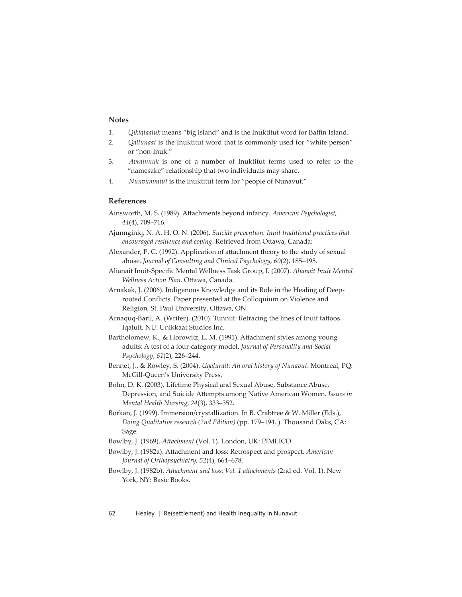# **Notes**

- 1. *Qikiqtaaluk* means "big island" and is the Inuktitut word for Baffin Island.
- 2. *Qallunaat* is the Inuktitut word that is commonly used for "white person" or "non-Inuk."
- 3. *Avrainnuk* is one of a number of Inuktitut terms used to refer to the "namesake" relationship that two individuals may share.
- 4. *Nunvummiut* is the Inuktitut term for "people of Nunavut."

#### **References**

- Ainsworth, M. S. (1989). Attachments beyond infancy. *American Psychologist*, *44*(4), 709–716.
- Ajunnginiq, N. A. H. O. N. (2006). *Suicide prevention: Inuit traditional practices that encouraged resilience and coping*. Retrieved from Ottawa, Canada:
- Alexander, P. C. (1992). Application of attachment theory to the study of sexual abuse. *Journal of Consulting and Clinical Psychology, 60*(2), 185–195.
- Alianait Inuit-Specifi c Mental Wellness Task Group, I. (2007). *Alianait Inuit Mental Wellness Action Plan. Ottawa, Canada.*
- Arnakak, J. (2006). Indigenous Knowledge and its Role in the Healing of Deeprooted Conflicts. Paper presented at the Colloquium on Violence and Religion, St. Paul University, Ottawa, ON.
- Arnaquq-Baril, A. (Writer). (2010). Tunniit: Retracing the lines of Inuit tattoos. Iqaluit, NU: Unikkaat Studios Inc.
- Bartholomew, K., & Horowitz, L. M. (1991). Attachment styles among young adults: A test of a four-category model. *Journal of Personality and Social Psychology, 61*(2), 226–244.
- Bennet, J., & Rowley, S. (2004). *Uqalurait: An oral history of Nunavut*. Montreal, PQ: McGill-Queen's University Press.
- Bohn, D. K. (2003). Lifetime Physical and Sexual Abuse, Substance Abuse, Depression, and Suicide Attempts among Native American Women. *Issues in Mental Health Nursing, 24*(3), 333–352.
- Borkan, J. (1999). Immersion/crystallization. In B. Crabtree & W. Miller (Eds.), *Doing Qualitative research (2nd Edition)* (pp. 179–194. ). Thousand Oaks, CA: Sage.
- Bowlby, J. (1969). *Attachment* (Vol. 1). London, UK: PIMLICO.
- Bowlby, J. (1982a). Attachment and loss: Retrospect and prospect. American *Journal of Orthopsychiatry, 52*(4), 664–678.

Bowlby, J. (1982b). *Attachment and loss: Vol. 1 attachments* (2nd ed. Vol. 1). New York, NY: Basic Books.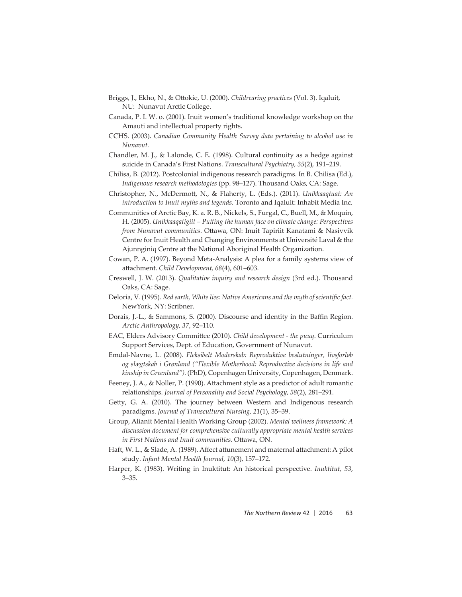- Briggs, J., Ekho, N., & Ottokie, U. (2000). *Childrearing practices* (Vol. 3). Iqaluit, NU: Nunavut Arctic College.
- Canada, P. I. W. o. (2001). Inuit women's traditional knowledge workshop on the Amauti and intellectual property rights.
- CCHS. (2003). *Canadian Community Health Survey data pertaining to alcohol use in Nunavut.*
- Chandler, M. J., & Lalonde, C. E. (1998). Cultural continuity as a hedge against suicide in Canada's First Nations. *Transcultural Psychiatry, 35*(2), 191–219.
- Chilisa, B. (2012). Postcolonial indigenous research paradigms. In B. Chilisa (Ed.), *Indigenous research methodologies* (pp. 98–127). Thousand Oaks, CA: Sage.
- Christopher, N., McDermott, N., & Flaherty, L. (Eds.). (2011). *Unikkaaqtuat: An introduction to Inuit myths and legends*. Toronto and Iqaluit: Inhabit Media Inc.
- Communities of Arctic Bay, K. a. R. B., Nickels, S., Furgal, C., Buell, M., & Moquin, H. (2005). *Unikkaaqatigiit – Putting the human face on climate change: Perspectives from Nunavut communities*. Ottawa, ON: Inuit Tapiriit Kanatami & Nasivvik Centre for Inuit Health and Changing Environments at Université Laval & the Ajunnginiq Centre at the National Aboriginal Health Organization.
- Cowan, P. A. (1997). Beyond Meta-Analysis: A plea for a family systems view of att achment. *Child Development, 68*(4), 601–603.
- Creswell, J. W. (2013). *Qualitative inquiry and research design* (3rd ed.). Thousand Oaks, CA: Sage.
- Deloria, V. (1995). *Red earth, White lies: Native Americans and the myth of scientific fact.* NewYork, NY: Scribner.
- Dorais, J.-L., & Sammons, S. (2000). Discourse and identity in the Baffin Region. *Arctic Anthropology, 37*, 92–110.
- EAC, Elders Advisory Committee (2010). *Child development the puuq*. Curriculum Support Services, Dept. of Education, Government of Nunavut.
- Emdal-Navne, L. (2008). *Fleksibelt Moderskab: Reproduktive beslutninger, livsforløb og slægtskab i Grønland ("Flexible Motherhood: Reproductive decisions in life and kinship in Greenland").* (PhD), Copenhagen University, Copenhagen, Denmark.
- Feeney, J. A., & Noller, P. (1990). Attachment style as a predictor of adult romantic relationships. *Journal of Personality and Social Psychology, 58*(2), 281–291.
- Getty, G. A. (2010). The journey between Western and Indigenous research paradigms. *Journal of Transcultural Nursing, 21*(1), 35–39.
- Group, Alianit Mental Health Working Group (2002). *Mental wellness framework: A discussion document for comprehensive culturally appropriate mental health services in First Nations and Inuit communities. Ottawa, ON.*
- Haft, W. L., & Slade, A. (1989). Affect attunement and maternal attachment: A pilot study. *Infant Mental Health Journal, 10*(3), 157–172.
- Harper, K. (1983). Writing in Inuktitut: An historical perspective. *Inuktitut, 53*, 3–35.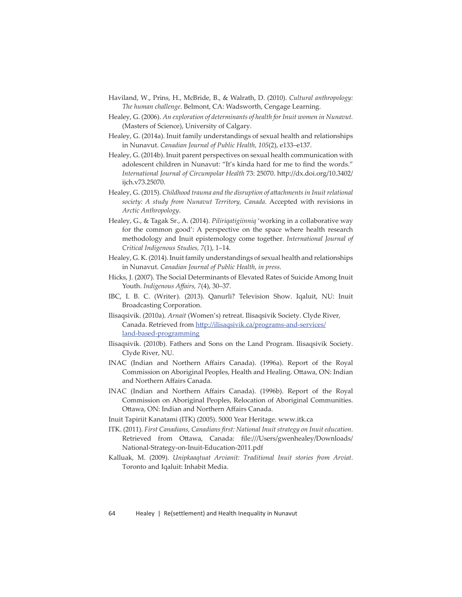- Haviland, W., Prins, H., McBride, B., & Walrath, D. (2010). *Cultural anthropology: The human challenge*. Belmont, CA: Wadsworth, Cengage Learning.
- Healey, G. (2006). *An exploration of determinants of health for Inuit women in Nunavut.* (Masters of Science), University of Calgary.
- Healey, G. (2014a). Inuit family understandings of sexual health and relationships in Nunavut. *Canadian Journal of Public Health, 105*(2), e133–e137.
- Healey, G. (2014b). Inuit parent perspectives on sexual health communication with adolescent children in Nunavut: "It's kinda hard for me to find the words." *International Journal of Circumpolar Health 73: 25070. http://dx.doi.org/10.3402/* ijch.v73.25070.
- Healey, G. (2015). *Childhood trauma and the disruption of att achments in Inuit relational society: A study from Nunavut Territory, Canada.* Accepted with revisions in *Arctic Anthropology*.
- Healey, G., & Tagak Sr., A. (2014). *Piliriqatigiinniq* 'working in a collaborative way for the common good': A perspective on the space where health research methodology and Inuit epistemology come together. *International Journal of Critical Indigenous Studies, 7*(1), 1–14.
- Healey, G. K. (2014). Inuit family understandings of sexual health and relationships in Nunavut. *Canadian Journal of Public Health, in press*.
- Hicks, J. (2007). The Social Determinants of Elevated Rates of Suicide Among Inuit Youth. *Indigenous Affairs*, 7(4), 30-37.
- IBC, I. B. C. (Writer). (2013). Qanurli? Television Show. Iqaluit, NU: Inuit Broadcasting Corporation.
- Ilisaqsivik. (2010a). *Arnait* (Women's) retreat. Ilisaqsivik Society. Clyde River, Canada. Retrieved from http://ilisaqsivik.ca/programs-and-services/ land-based-programming
- Ilisaqsivik. (2010b). Fathers and Sons on the Land Program. Ilisaqsivik Society. Clyde River, NU.
- INAC (Indian and Northern Affairs Canada). (1996a). Report of the Royal Commission on Aboriginal Peoples, Health and Healing. Ottawa, ON: Indian and Northern Affairs Canada.
- INAC (Indian and Northern Affairs Canada). (1996b). Report of the Royal Commission on Aboriginal Peoples, Relocation of Aboriginal Communities. Ottawa, ON: Indian and Northern Affairs Canada.
- Inuit Tapiriit Kanatami (ITK) (2005). 5000 Year Heritage. www.itk.ca
- ITK. (2011). *First Canadians, Canadians fi rst: National Inuit strategy on Inuit education*. Retrieved from Ottawa, Canada: file:///Users/gwenhealey/Downloads/ National-Strategy-on-Inuit-Education-2011.pdf
- Kalluak, M. (2009). *Unipkaaqtuat Arvianit: Traditional Inuit stories from Arviat*. Toronto and Iqaluit: Inhabit Media.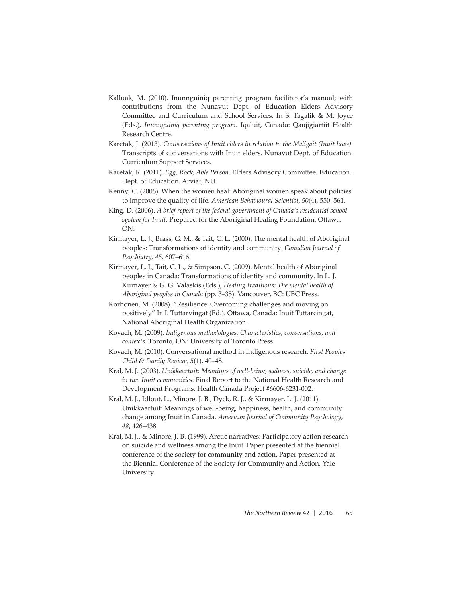- Kalluak, M. (2010). Inunnguiniq parenting program facilitator's manual; with contributions from the Nunavut Dept. of Education Elders Advisory Committee and Curriculum and School Services. In S. Tagalik & M. Joyce (Eds.), *Inunnguiniq parenting program*. Iqaluit, Canada: Qaujigiartiit Health Research Centre.
- Karetak, J. (2013). *Conversations of Inuit elders in relation to the Maligait (Inuit laws)*. Transcripts of conversations with Inuit elders. Nunavut Dept. of Education. Curriculum Support Services.
- Karetak, R. (2011). *Egg, Rock, Able Person*. Elders Advisory Committee. Education. Dept. of Education. Arviat, NU.
- Kenny, C. (2006). When the women heal: Aboriginal women speak about policies to improve the quality of life. *American Behavioural Scientist, 50*(4), 550–561.
- King, D. (2006). *A brief report of the federal government of Canada's residential school*  system for Inuit. Prepared for the Aboriginal Healing Foundation. Ottawa, ON:
- Kirmayer, L. J., Brass, G. M., & Tait, C. L. (2000). The mental health of Aboriginal peoples: Transformations of identity and community. *Canadian Journal of Psychiatry, 45*, 607–616.
- Kirmayer, L. J., Tait, C. L., & Simpson, C. (2009). Mental health of Aboriginal peoples in Canada: Transformations of identity and community. In L. J. Kirmayer & G. G. Valaskis (Eds.), *Healing traditions: The mental health of Aboriginal peoples in Canada* (pp. 3–35). Vancouver, BC: UBC Press.
- Korhonen, M. (2008). "Resilience: Overcoming challenges and moving on positively" In I. Tuttarvingat (Ed.). Ottawa, Canada: Inuit Tuttarcingat, National Aboriginal Health Organization.
- Kovach, M. (2009). *Indigenous methodologies: Characteristics, conversations, and contexts*. Toronto, ON: University of Toronto Press.
- Kovach, M. (2010). Conversational method in Indigenous research. *First Peoples Child & Family Review, 5*(1), 40–48.
- Kral, M. J. (2003). *Unikkaartuit: Meanings of well-being, sadness, suicide, and change in two Inuit communities.* Final Report to the National Health Research and Development Programs, Health Canada Project #6606-6231-002.
- Kral, M. J., Idlout, L., Minore, J. B., Dyck, R. J., & Kirmayer, L. J. (2011). Unikkaartuit: Meanings of well-being, happiness, health, and community change among Inuit in Canada. *American Journal of Community Psychology, 48*, 426–438.
- Kral, M. J., & Minore, J. B. (1999). Arctic narratives: Participatory action research on suicide and wellness among the Inuit. Paper presented at the biennial conference of the society for community and action. Paper presented at the Biennial Conference of the Society for Community and Action, Yale University.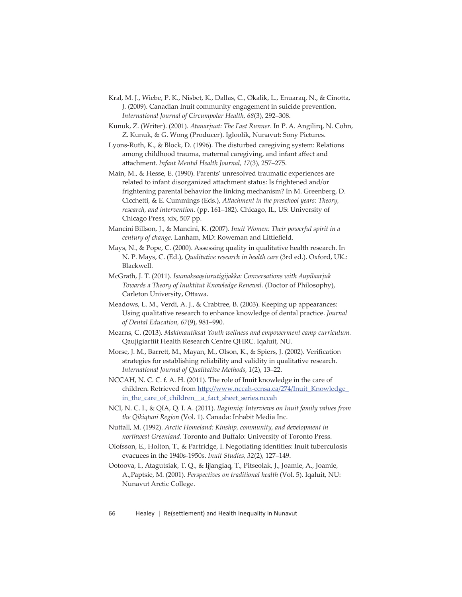- Kral, M. J., Wiebe, P. K., Nisbet, K., Dallas, C., Okalik, L., Enuaraq, N., & Cinotta, J. (2009). Canadian Inuit community engagement in suicide prevention. *International Journal of Circumpolar Health, 68*(3), 292–308.
- Kunuk, Z. (Writer). (2001). *Atanarjuat: The Fast Runner*. In P. A. Angilirq, N. Cohn, Z. Kunuk, & G. Wong (Producer). Igloolik, Nunavut: Sony Pictures.

 Lyons-Ruth, K., & Block, D. (1996). The disturbed caregiving system: Relations among childhood trauma, maternal caregiving, and infant affect and att achment. *Infant Mental Health Journal, 17*(3), 257–275.

 Main, M., & Hesse, E. (1990). Parents' unresolved traumatic experiences are related to infant disorganized attachment status: Is frightened and/or frightening parental behavior the linking mechanism? In M. Greenberg, D. Cicchetti, & E. Cummings (Eds.), *Attachment in the preschool years: Theory*, *research, and intervention.* (pp. 161–182). Chicago, IL, US: University of Chicago Press, xix, 507 pp.

- Mancini Billson, J., & Mancini, K. (2007). *Inuit Women: Their powerful spirit in a century of change*. Lanham, MD: Roweman and Littlefield.
- Mays, N., & Pope, C. (2000). Assessing quality in qualitative health research. In N. P. Mays, C. (Ed.), *Qualitative research in health care* (3rd ed.). Oxford, UK.: Blackwell.
- McGrath, J. T. (2011). *Isumaksaqsiurutigijakka: Conversations with Aupilaarjuk Towards a Theory of Inuktitut Knowledge Renewal.* (Doctor of Philosophy), Carleton University, Ottawa.
- Meadows, L. M., Verdi, A. J., & Crabtree, B. (2003). Keeping up appearances: Using qualitative research to enhance knowledge of dental practice. *Journal of Dental Education, 67*(9), 981–990.
- Mearns, C. (2013). *Makimautiksat Youth wellness and empowerment camp curriculum.* Qaujigiartiit Health Research Centre QHRC. Iqaluit, NU.
- Morse, J. M., Barrett, M., Mayan, M., Olson, K., & Spiers, J. (2002). Verification strategies for establishing reliability and validity in qualitative research. *International Journal of Qualitative Methods, 1*(2), 13–22.

 NCCAH, N. C. C. f. A. H. (2011). The role of Inuit knowledge in the care of children. Retrieved from http://www.nccah-ccnsa.ca/274/Inuit\_Knowledge\_ in\_the\_care\_of\_children\_a\_fact\_sheet\_series.nccah

- NCI, N. C. I., & QIA, Q. I. A. (2011). *Ilaginniq: Interviews on Inuit family values from the Qikiqtani Region* (Vol. 1). Canada: Inhabit Media Inc.
- Nuttall, M. (1992). *Arctic Homeland: Kinship, community, and development in northwest Greenland*. Toronto and Buffalo: University of Toronto Press.
- Olofsson, E., Holton, T., & Partridge, I. Negotiating identities: Inuit tuberculosis evacuees in the 1940s-1950s. *Inuit Studies, 32*(2), 127–149.
- Ootoova, I., Atagutsiak, T. Q., & Ijjangiaq, T., Pitseolak, J., Joamie, A., Joamie, A.,Paptsie, M. (2001). *Perspectives on traditional health* (Vol. 5). Iqaluit, NU: Nunavut Arctic College.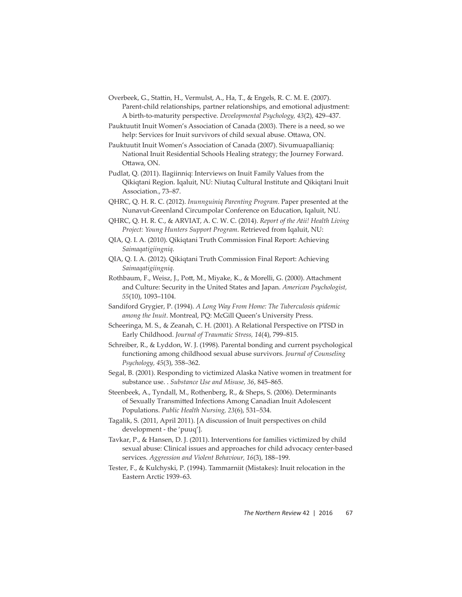- Overbeek, G., Stattin, H., Vermulst, A., Ha, T., & Engels, R. C. M. E. (2007). Parent-child relationships, partner relationships, and emotional adjustment: A birth-to-maturity perspective. *Developmental Psychology, 43*(2), 429–437.
- Pauktuutit Inuit Women's Association of Canada (2003). There is a need, so we help: Services for Inuit survivors of child sexual abuse. Ottawa, ON.
- Pauktuutit Inuit Women's Association of Canada (2007). Sivumuapallianiq: National Inuit Residential Schools Healing strategy; the Journey Forward. Ottawa, ON.
- Pudlat, Q. (2011). Ilagiinniq: Interviews on Inuit Family Values from the Qikiqtani Region. Iqaluit, NU: Niutaq Cultural Institute and Qikiqtani Inuit Association., 73–87.
- QHRC, Q. H. R. C. (2012). *Inunnguiniq Parenting Program*. Paper presented at the Nunavut-Greenland Circumpolar Conference on Education, Iqaluit, NU.
- QHRC, Q. H. R. C., & ARVIAT, A. C. W. C. (2014). *Report of the Atii! Health Living Project: Young Hunters Support Program*. Retrieved from Iqaluit, NU:
- QIA, Q. I. A. (2010). Qikiqtani Truth Commission Final Report: Achieving *Saimaqatigiingniq*.
- QIA, Q. I. A. (2012). Qikiqtani Truth Commission Final Report: Achieving *Saimaqatigiingniq*.
- Rothbaum, F., Weisz, J., Pott, M., Miyake, K., & Morelli, G. (2000). Attachment and Culture: Security in the United States and Japan. *American Psychologist, 55*(10), 1093–1104.
- Sandiford Grygier, P. (1994). *A Long Way From Home: The Tuberculosis epidemic among the Inuit*. Montreal, PQ: McGill Queen's University Press.
- Scheeringa, M. S., & Zeanah, C. H. (2001). A Relational Perspective on PTSD in Early Childhood. *Journal of Traumatic Stress, 14*(4), 799–815.
- Schreiber, R., & Lyddon, W. J. (1998). Parental bonding and current psychological functioning among childhood sexual abuse survivors. *Journal of Counseling Psychology, 45*(3), 358–362.
- Segal, B. (2001). Responding to victimized Alaska Native women in treatment for substance use. . *Substance Use and Misuse, 36*, 845–865.
- Steenbeek, A., Tyndall, M., Rothenberg, R., & Sheps, S. (2006). Determinants of Sexually Transmitted Infections Among Canadian Inuit Adolescent Populations. *Public Health Nursing, 23*(6), 531–534.
- Tagalik, S. (2011, April 2011). [A discussion of Inuit perspectives on child development - the 'puuq'].
- Tavkar, P., & Hansen, D. J. (2011). Interventions for families victimized by child sexual abuse: Clinical issues and approaches for child advocacy center-based services. *Aggression and Violent Behaviour, 16*(3), 188–199.
- Tester, F., & Kulchyski, P. (1994). Tammarniit (Mistakes): Inuit relocation in the Eastern Arctic 1939–63.